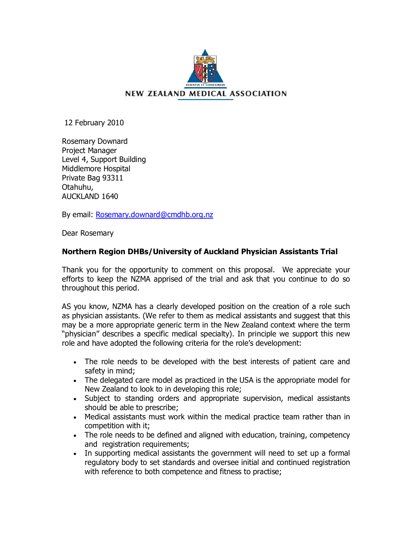

12 February 2010

Rosemary Downard Project Manager Level 4, Support Building Middlemore Hospital Private Bag 93311 Otahuhu, AUCKLAND 1640

By email: Rosemary.downard@cmdhb.org.nz

Dear [Rosemary](mailto:Rosemary.downard@cmdhb.org.nz)

# **Northern Region DHBs/University of Auckland Physician Assistants Trial**

Thank you for the opportunity to comment on this proposal. We appreciate your efforts to keep the NZMA apprised of the trial and ask that you continue to do so throughout this period.

AS you know, NZMA has a clearly developed position on the creation of a role such as physician assistants. (We refer to them as medical assistants and suggest that this may be a more appropriate generic term in the New Zealand context where the term "physician" describes a specific medical specialty). In principle we support this new role and have adopted the following criteria for the role's development:

- · The role needs to be developed with the best interests of patient care and safety in mind;
- · The delegated care model as practiced in the USA is the appropriate model for New Zealand to look to in developing this role;
- · Subject to standing orders and appropriate supervision, medical assistants should be able to prescribe;
- · Medical assistants must work within the medical practice team rather than in competition with it;
- · The role needs to be defined and aligned with education, training, competency and registration requirements;
- · In supporting medical assistants the government will need to set up a formal regulatory body to set standards and oversee initial and continued registration with reference to both competence and fitness to practise;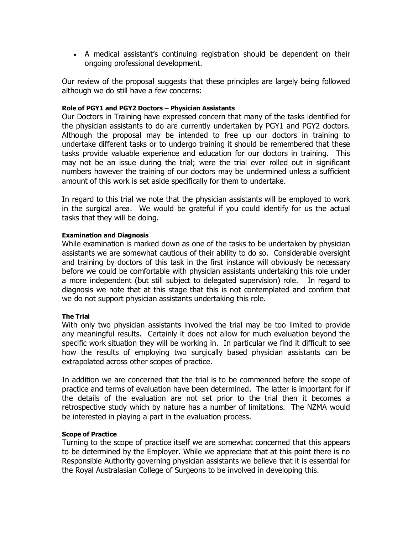· A medical assistant's continuing registration should be dependent on their ongoing professional development.

Our review of the proposal suggests that these principles are largely being followed although we do still have a few concerns:

# **Role of PGY1 and PGY2 Doctors – Physician Assistants**

Our Doctors in Training have expressed concern that many of the tasks identified for the physician assistants to do are currently undertaken by PGY1 and PGY2 doctors. Although the proposal may be intended to free up our doctors in training to undertake different tasks or to undergo training it should be remembered that these tasks provide valuable experience and education for our doctors in training. This may not be an issue during the trial; were the trial ever rolled out in significant numbers however the training of our doctors may be undermined unless a sufficient amount of this work is set aside specifically for them to undertake.

In regard to this trial we note that the physician assistants will be employed to work in the surgical area. We would be grateful if you could identify for us the actual tasks that they will be doing.

## **Examination and Diagnosis**

While examination is marked down as one of the tasks to be undertaken by physician assistants we are somewhat cautious of their ability to do so. Considerable oversight and training by doctors of this task in the first instance will obviously be necessary before we could be comfortable with physician assistants undertaking this role under a more independent (but still subject to delegated supervision) role. In regard to diagnosis we note that at this stage that this is not contemplated and confirm that we do not support physician assistants undertaking this role.

# **The Trial**

With only two physician assistants involved the trial may be too limited to provide any meaningful results. Certainly it does not allow for much evaluation beyond the specific work situation they will be working in. In particular we find it difficult to see how the results of employing two surgically based physician assistants can be extrapolated across other scopes of practice.

In addition we are concerned that the trial is to be commenced before the scope of practice and terms of evaluation have been determined. The latter is important for if the details of the evaluation are not set prior to the trial then it becomes a retrospective study which by nature has a number of limitations. The NZMA would be interested in playing a part in the evaluation process.

#### **Scope of Practice**

Turning to the scope of practice itself we are somewhat concerned that this appears to be determined by the Employer. While we appreciate that at this point there is no Responsible Authority governing physician assistants we believe that it is essential for the Royal Australasian College of Surgeons to be involved in developing this.